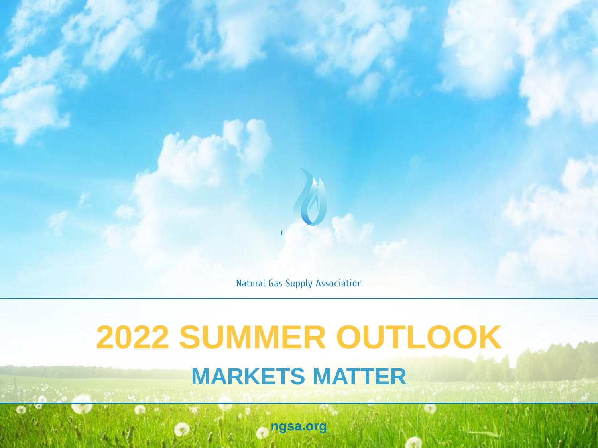**Natural Gas Supply Association** 

# **2022 SUMMER OUTLOOK MARKETS MATTER**

**ngsa.org**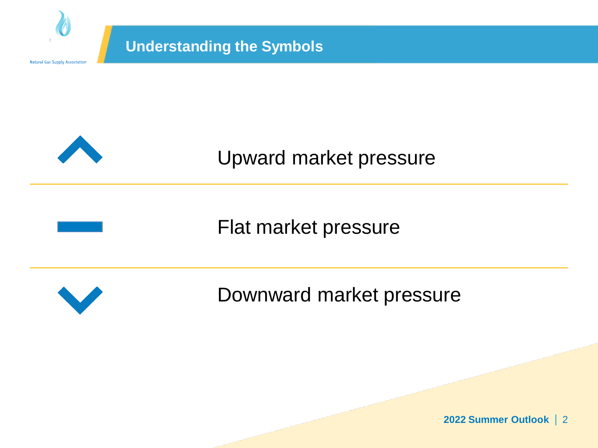

Downward market pressure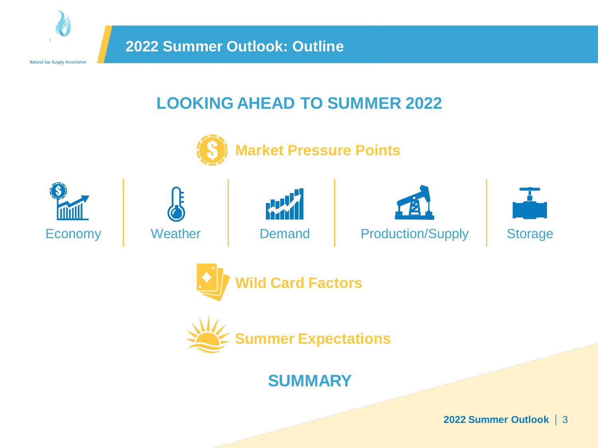

# **LOOKING AHEAD TO SUMMER 2022**



**Market Pressure Points**















# **SUMMARY**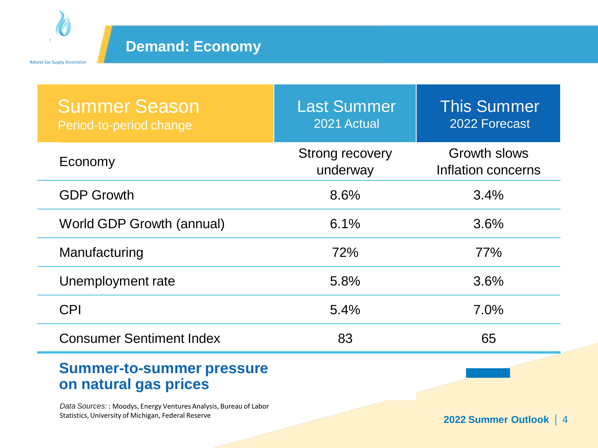

## **Demand: Economy**

| <b>Summer Season</b><br>Period-to-period change           | <b>Last Summer</b><br>2021 Actual  | <b>This Summer</b><br>2022 Forecast       |
|-----------------------------------------------------------|------------------------------------|-------------------------------------------|
| Economy                                                   | <b>Strong recovery</b><br>underway | <b>Growth slows</b><br>Inflation concerns |
| <b>GDP Growth</b>                                         | 8.6%                               | 3.4%                                      |
| World GDP Growth (annual)                                 | 6.1%                               | 3.6%                                      |
| Manufacturing                                             | 72%                                | 77%                                       |
| Unemployment rate                                         | 5.8%                               | 3.6%                                      |
| <b>CPI</b>                                                | 5.4%                               | 7.0%                                      |
| <b>Consumer Sentiment Index</b>                           | 83                                 | 65                                        |
| <b>Summer-to-summer pressure</b><br>on natural gas prices |                                    |                                           |

*Data Sources:* : Moodys, Energy Ventures Analysis, Bureau of Labor Statistics, University of Michigan, Federal Reserve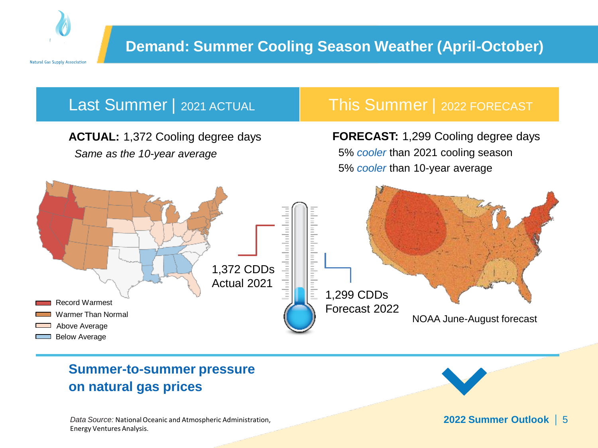



### **Summer-to-summer pressure on natural gas prices**

*Data Source:* National Oceanic and Atmospheric Administration, Energy Ventures Analysis*.*

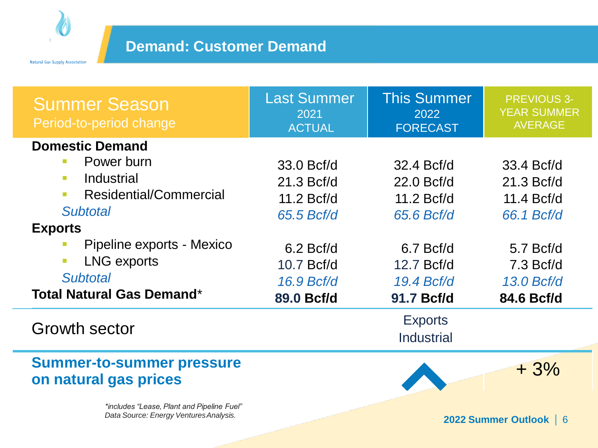

| <b>Summer Season</b><br>Period-to-period change                                                                                                                                                                                                                                                                                              | <b>Last Summer</b><br>2021<br><b>ACTUAL</b>                                                     | <b>This Summer</b><br>2022<br><b>FORECAST</b>                                                   | <b>PREVIOUS 3-</b><br><b>YEAR SUMMER</b><br><b>AVERAGE</b>                                       |
|----------------------------------------------------------------------------------------------------------------------------------------------------------------------------------------------------------------------------------------------------------------------------------------------------------------------------------------------|-------------------------------------------------------------------------------------------------|-------------------------------------------------------------------------------------------------|--------------------------------------------------------------------------------------------------|
| <b>Domestic Demand</b><br>Power burn<br>$\mathcal{C}^{\mathcal{A}}$<br>Industrial<br>$\overline{\phantom{a}}$<br>Residential/Commercial<br>$\overline{\phantom{a}}$<br><b>Subtotal</b><br><b>Exports</b><br>Pipeline exports - Mexico<br>$\mathcal{L}_{\mathcal{A}}$<br><b>LNG exports</b><br>$\mathcal{L}_{\mathcal{A}}$<br><b>Subtotal</b> | 33.0 Bcf/d<br>21.3 Bcf/d<br>11.2 Bcf/d<br>65.5 Bcf/d<br>$6.2$ Bcf/d<br>10.7 Bcf/d<br>16.9 Bcf/d | 32.4 Bcf/d<br>22.0 Bcf/d<br>11.2 Bcf/d<br>65.6 Bcf/d<br>$6.7$ Bcf/d<br>12.7 Bcf/d<br>19.4 Bcf/d | 33.4 Bcf/d<br>21.3 Bcf/d<br>11.4 Bcf/d<br>66.1 Bcf/d<br>$5.7$ Bcf/d<br>$7.3$ Bcf/d<br>13.0 Bcf/d |
| <b>Total Natural Gas Demand*</b>                                                                                                                                                                                                                                                                                                             | 89.0 Bcf/d                                                                                      | 91.7 Bcf/d                                                                                      | 84.6 Bcf/d                                                                                       |
| Growth sector                                                                                                                                                                                                                                                                                                                                |                                                                                                 | <b>Exports</b><br><b>Industrial</b>                                                             |                                                                                                  |
| <b>Summer-to-summer pressure</b><br>on natural gas prices                                                                                                                                                                                                                                                                                    |                                                                                                 |                                                                                                 | $+3%$                                                                                            |
| *includes "Lease, Plant and Pipeline Fuel"<br>Data Source: Energy Ventures Analysis.                                                                                                                                                                                                                                                         |                                                                                                 |                                                                                                 | 2022 Summer Outlook   6                                                                          |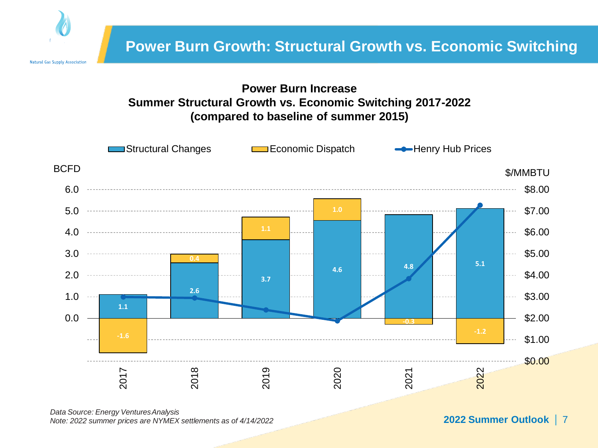

#### **Power Burn Increase Summer Structural Growth vs. Economic Switching 2017-2022 (compared to baseline of summer 2015)**



*Data Source: Energy VenturesAnalysis Note: 2022 summer prices are NYMEX settlements as of 4/14/2022*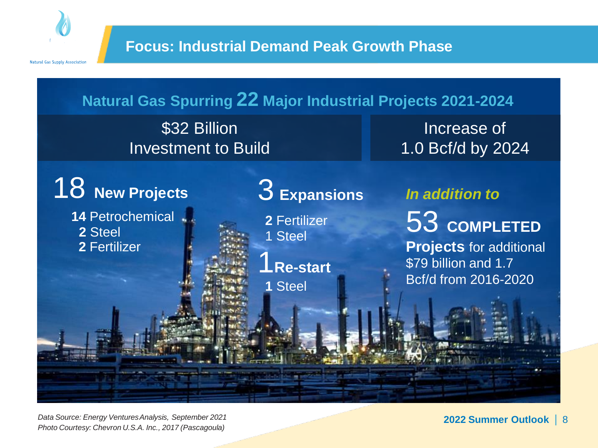



\$32 Billion Investment to Build

Increase of 1.0 Bcf/d by 2024

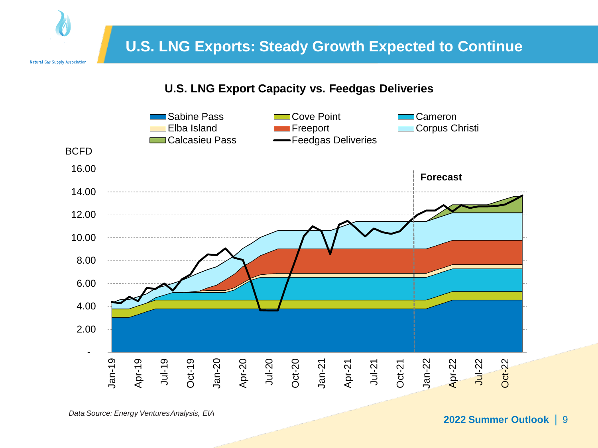

#### **U.S. LNG Export Capacity vs. Feedgas Deliveries**



*Data Source: Energy VenturesAnalysis, EIA*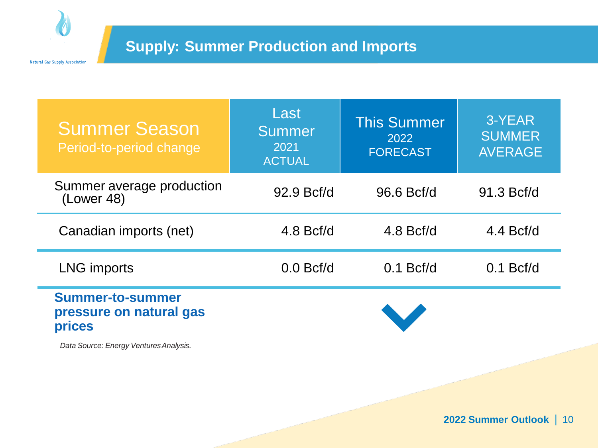

| <b>Summer Season</b><br>Period-to-period change                     | Last<br><b>Summer</b><br>2021<br><b>ACTUAL</b> | <b>This Summer</b><br>2022<br><b>FORECAST</b> | 3-YEAR<br><b>SUMMER</b><br><b>AVERAGE</b> |
|---------------------------------------------------------------------|------------------------------------------------|-----------------------------------------------|-------------------------------------------|
| Summer average production<br>(Lower 48)                             | 92.9 Bcf/d                                     | 96.6 Bcf/d                                    | 91.3 Bcf/d                                |
| Canadian imports (net)                                              | $4.8$ Bcf/d                                    | $4.8$ Bcf/d                                   | $4.4$ Bcf/d                               |
| <b>LNG imports</b>                                                  | $0.0$ Bcf/d                                    | $0.1$ Bcf/d                                   | $0.1$ Bcf/d                               |
| <b>Summer-to-summer</b><br>pressure on natural gas<br><b>prices</b> |                                                |                                               |                                           |

*Data Source: Energy VenturesAnalysis.*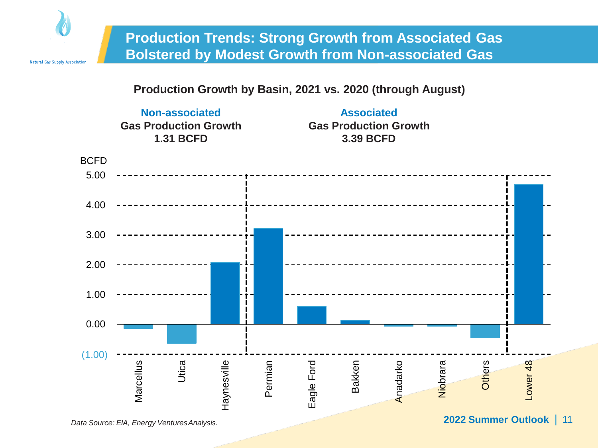

#### **Production Growth by Basin, 2021 vs. 2020 (through August)**

**Non-associated Gas Production Growth 1.31 BCFD**

**Associated Gas Production Growth 3.39 BCFD**

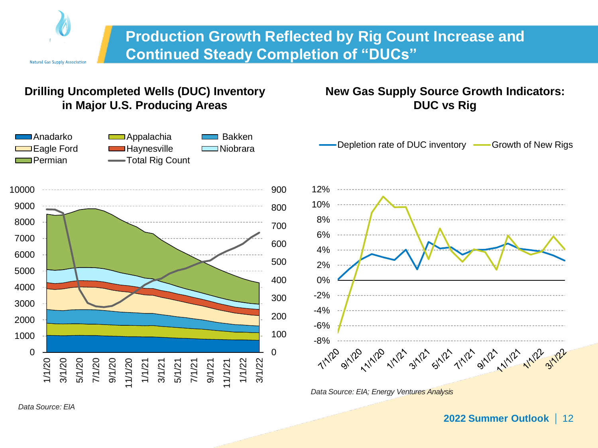

### **Production Growth Reflected by Rig Count Increase and Continued Steady Completion of "DUCs"**

#### **Drilling Uncompleted Wells (DUC) Inventory in Major U.S. Producing Areas**



#### **New Gas Supply Source Growth Indicators: DUC vs Rig**

-Depletion rate of DUC inventory **-** Growth of New Rigs



*Data Source: EIA; Energy Ventures Analysis*

*Data Source: EIA*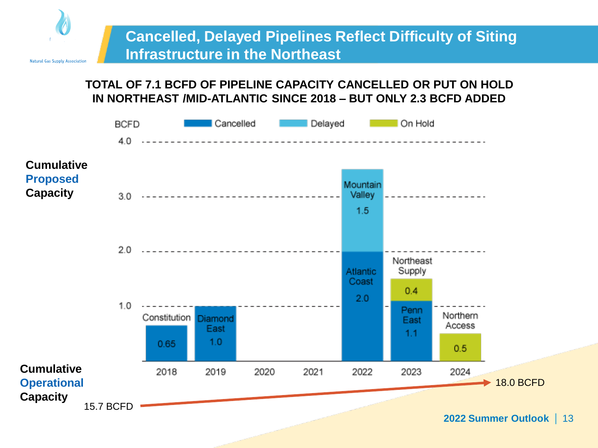

#### **TOTAL OF 7.1 BCFD OF PIPELINE CAPACITY CANCELLED OR PUT ON HOLD IN NORTHEAST /MID-ATLANTIC SINCE 2018 – BUT ONLY 2.3 BCFD ADDED**

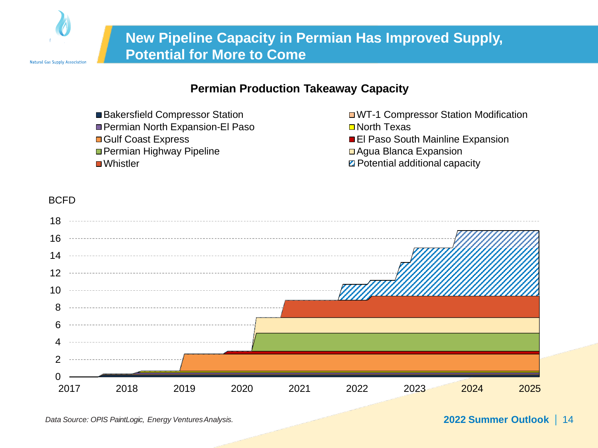

#### **Permian Production Takeaway Capacity**

- 
- Permian North Expansion-El Paso North Texas
- Gulf Coast Express El Paso South Mainline Expansion
- Permian Highway Pipeline Agua Blanca Expansion
- 
- ■Bakersfield Compressor Station WT-1 Compressor Station Modification
	-
	-
	- Whistler **Pecos Trail (on holding terms** Trail additional capacity

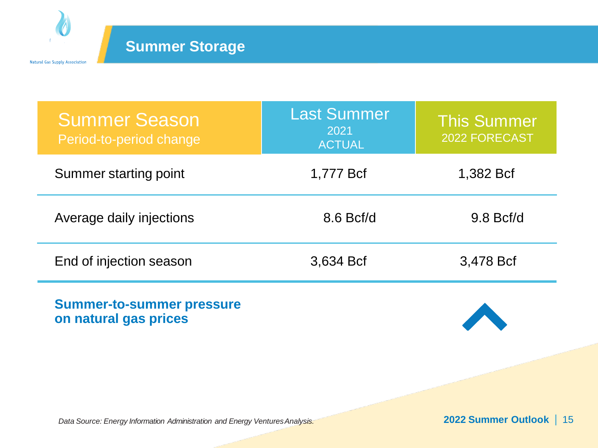

| <b>Summer Season</b><br>Period-to-period change | <b>Last Summer</b><br>2021<br><b>ACTUAL</b> | <b>This Summer</b><br>2022 FORECAST |
|-------------------------------------------------|---------------------------------------------|-------------------------------------|
| Summer starting point                           | 1,777 Bcf                                   | 1,382 Bcf                           |
| Average daily injections                        | $8.6$ Bcf/d                                 | $9.8$ Bcf/d                         |
| End of injection season                         | 3,634 Bcf                                   | 3,478 Bcf                           |

**Summer-to-summer pressure on natural gas prices**

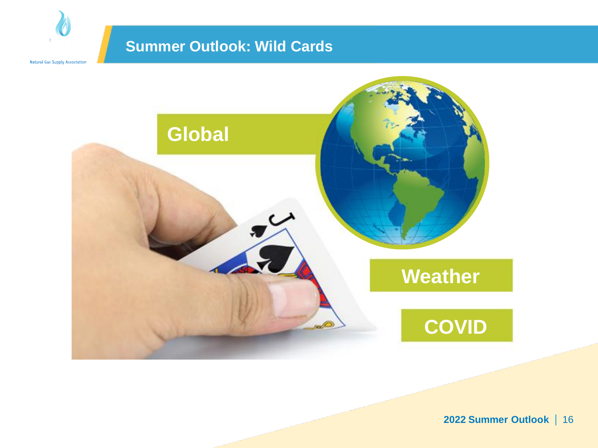### **Summer Outlook: Wild Cards**

Natural Gas Supply Association

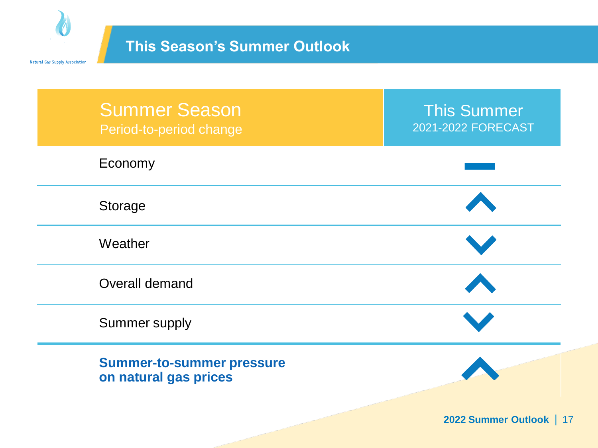

# **This Season's Summer Outlook**

| <b>Summer Season</b><br>Period-to-period change           | <b>This Summer</b><br>2021-2022 FORECAST |
|-----------------------------------------------------------|------------------------------------------|
| Economy                                                   |                                          |
| Storage                                                   |                                          |
| Weather                                                   |                                          |
| Overall demand                                            |                                          |
| Summer supply                                             |                                          |
| <b>Summer-to-summer pressure</b><br>on natural gas prices |                                          |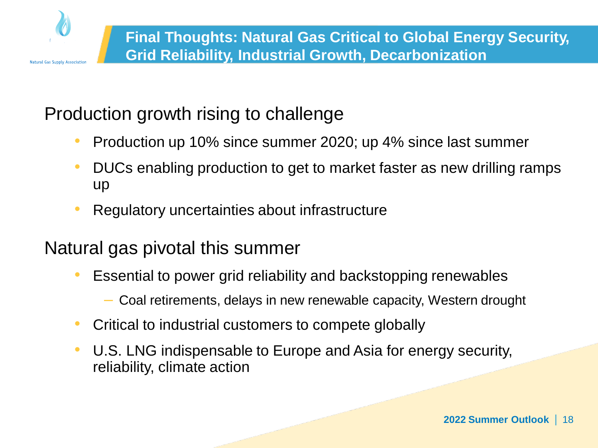

# Production growth rising to challenge

- Production up 10% since summer 2020; up 4% since last summer
- DUCs enabling production to get to market faster as new drilling ramps up
- Regulatory uncertainties about infrastructure

# Natural gas pivotal this summer

- Essential to power grid reliability and backstopping renewables
	- Coal retirements, delays in new renewable capacity, Western drought
- Critical to industrial customers to compete globally
- U.S. LNG indispensable to Europe and Asia for energy security, reliability, climate action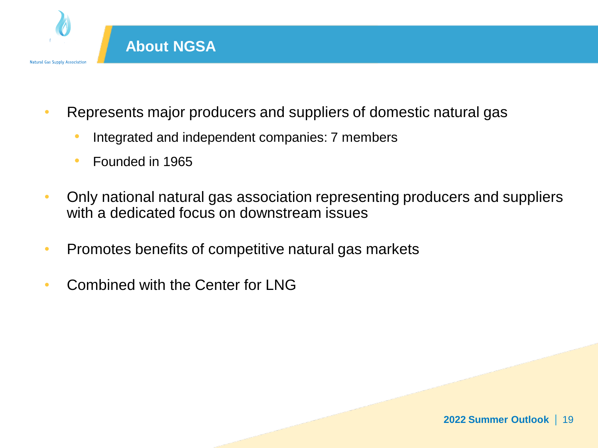

- Represents major producers and suppliers of domestic natural gas
	- Integrated and independent companies: 7 members
	- Founded in 1965
- Only national natural gas association representing producers and suppliers with a dedicated focus on downstream issues
- Promotes benefits of competitive natural gas markets
- Combined with the Center for LNG